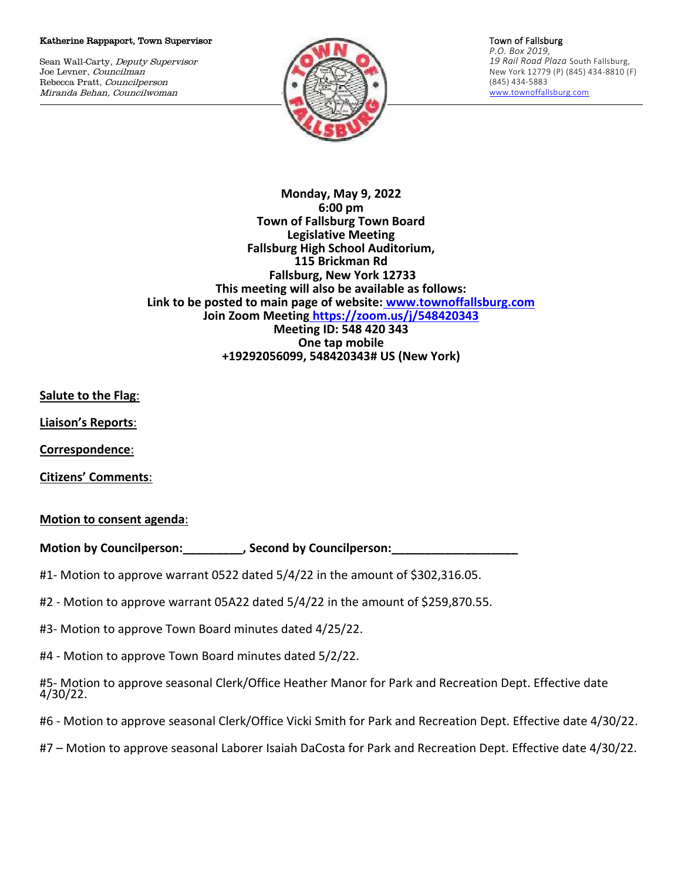#### Katherine Rappaport, Town Supervisor

Sean Wall-Carty, Deputy Supervisor Joe Levner, Councilman Rebecca Pratt, Councilperson Miranda Behan, Councilwoman



Town of Fallsburg *P.O. Box 2019, 19 Rail Road Plaza* South Fallsburg, New York 12779 (P) (845) 434-8810 (F) (845) 434-5883 [www.townoffallsburg.com](http://www.townoffallsburg.com/)

**Monday, May 9, 2022 6:00 pm Town of Fallsburg Town Board Legislative Meeting Fallsburg High School Auditorium, 115 Brickman Rd Fallsburg, New York 12733 This meeting will also be available as follows: Link to be posted to main page of website: [www.townoffallsburg.com](http://www.townoffallsburg.com/)  Join Zoom Meeting <https://zoom.us/j/548420343> Meeting ID: 548 420 343 One tap mobile +19292056099, 548420343# US (New York)**

**Salute to the Flag**:

**Liaison's Reports**:

**Correspondence**:

**Citizens' Comments**:

### **Motion to consent agenda**:

**Motion by Councilperson:\_\_\_\_\_\_\_\_\_, Second by Councilperson:\_\_\_\_\_\_\_\_\_\_\_\_\_\_\_\_\_\_\_**

- #1- Motion to approve warrant 0522 dated 5/4/22 in the amount of \$302,316.05.
- #2 Motion to approve warrant 05A22 dated 5/4/22 in the amount of \$259,870.55.

#3- Motion to approve Town Board minutes dated 4/25/22.

#4 - Motion to approve Town Board minutes dated 5/2/22.

#5- Motion to approve seasonal Clerk/Office Heather Manor for Park and Recreation Dept. Effective date 4/30/22.

- #6 Motion to approve seasonal Clerk/Office Vicki Smith for Park and Recreation Dept. Effective date 4/30/22.
- #7 Motion to approve seasonal Laborer Isaiah DaCosta for Park and Recreation Dept. Effective date 4/30/22.